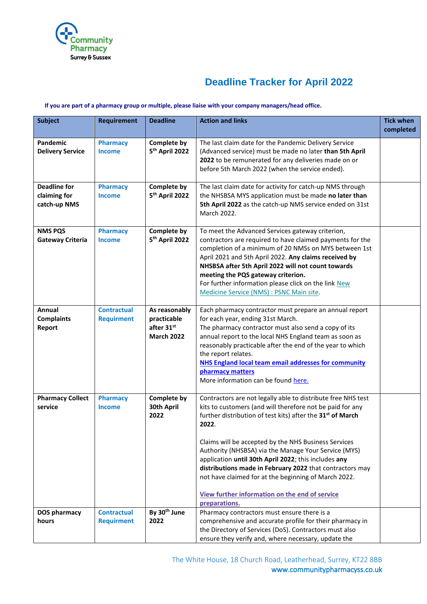

## **Deadline Tracker for April 2022**

## **If you are part of a pharmacy group or multiple, please liaise with your company managers/head office.**

| <b>Subject</b>                                      | <b>Requirement</b>                      | <b>Deadline</b>                                                 | <b>Action and links</b>                                                                                                                                                                                                                                                                                                                                                                                                                                                                                                                                                     | <b>Tick when</b><br>completed |
|-----------------------------------------------------|-----------------------------------------|-----------------------------------------------------------------|-----------------------------------------------------------------------------------------------------------------------------------------------------------------------------------------------------------------------------------------------------------------------------------------------------------------------------------------------------------------------------------------------------------------------------------------------------------------------------------------------------------------------------------------------------------------------------|-------------------------------|
| Pandemic<br><b>Delivery Service</b>                 | <b>Pharmacy</b><br><b>Income</b>        | <b>Complete by</b><br>5 <sup>th</sup> April 2022                | The last claim date for the Pandemic Delivery Service<br>(Advanced service) must be made no later than 5th April<br>2022 to be remunerated for any deliveries made on or<br>before 5th March 2022 (when the service ended).                                                                                                                                                                                                                                                                                                                                                 |                               |
| <b>Deadline for</b><br>claiming for<br>catch-up NMS | <b>Pharmacy</b><br><b>Income</b>        | <b>Complete by</b><br>5 <sup>th</sup> April 2022                | The last claim date for activity for catch-up NMS through<br>the NHSBSA MYS application must be made no later than<br>5th April 2022 as the catch-up NMS service ended on 31st<br>March 2022.                                                                                                                                                                                                                                                                                                                                                                               |                               |
| <b>NMS PQS</b><br><b>Gateway Criteria</b>           | <b>Pharmacy</b><br><b>Income</b>        | <b>Complete by</b><br>5 <sup>th</sup> April 2022                | To meet the Advanced Services gateway criterion,<br>contractors are required to have claimed payments for the<br>completion of a minimum of 20 NMSs on MYS between 1st<br>April 2021 and 5th April 2022. Any claims received by<br>NHSBSA after 5th April 2022 will not count towards<br>meeting the PQS gateway criterion.<br>For further information please click on the link New<br>Medicine Service (NMS) : PSNC Main site.                                                                                                                                             |                               |
| Annual<br><b>Complaints</b><br>Report               | <b>Contractual</b><br><b>Requirment</b> | As reasonably<br>practicable<br>after 31st<br><b>March 2022</b> | Each pharmacy contractor must prepare an annual report<br>for each year, ending 31st March.<br>The pharmacy contractor must also send a copy of its<br>annual report to the local NHS England team as soon as<br>reasonably practicable after the end of the year to which<br>the report relates.<br><b>NHS England local team email addresses for community</b><br>pharmacy matters<br>More information can be found here.                                                                                                                                                 |                               |
| <b>Pharmacy Collect</b><br>service                  | <b>Pharmacy</b><br><b>Income</b>        | <b>Complete by</b><br>30th April<br>2022                        | Contractors are not legally able to distribute free NHS test<br>kits to customers (and will therefore not be paid for any<br>further distribution of test kits) after the 31 <sup>st</sup> of March<br>2022.<br>Claims will be accepted by the NHS Business Services<br>Authority (NHSBSA) via the Manage Your Service (MYS)<br>application until 30th April 2022; this includes any<br>distributions made in February 2022 that contractors may<br>not have claimed for at the beginning of March 2022.<br>View further information on the end of service<br>preparations. |                               |
| DOS pharmacy<br>hours                               | <b>Contractual</b><br><b>Requirment</b> | By 30 <sup>th</sup> June<br>2022                                | Pharmacy contractors must ensure there is a<br>comprehensive and accurate profile for their pharmacy in<br>the Directory of Services (DoS). Contractors must also<br>ensure they verify and, where necessary, update the                                                                                                                                                                                                                                                                                                                                                    |                               |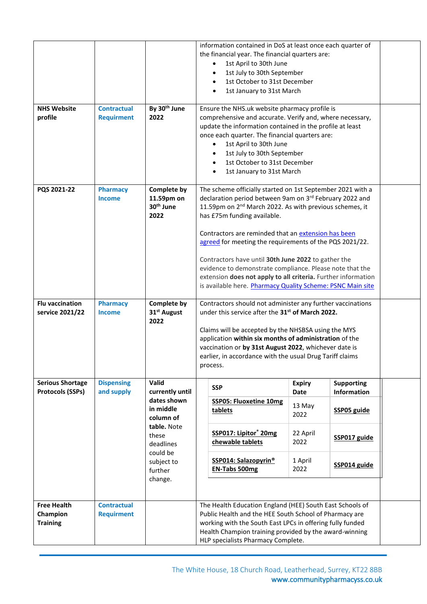| <b>NHS Website</b><br>profile                     | <b>Contractual</b><br><b>Requirment</b> | By 30 <sup>th</sup> June<br>2022                                                                                                              | information contained in DoS at least once each quarter of<br>the financial year. The financial quarters are:<br>1st April to 30th June<br>1st July to 30th September<br>1st October to 31st December<br>1st January to 31st March<br>٠<br>Ensure the NHS.uk website pharmacy profile is<br>comprehensive and accurate. Verify and, where necessary,<br>update the information contained in the profile at least<br>once each quarter. The financial quarters are:<br>1st April to 30th June                                                                                                    |                               |                            |  |  |
|---------------------------------------------------|-----------------------------------------|-----------------------------------------------------------------------------------------------------------------------------------------------|-------------------------------------------------------------------------------------------------------------------------------------------------------------------------------------------------------------------------------------------------------------------------------------------------------------------------------------------------------------------------------------------------------------------------------------------------------------------------------------------------------------------------------------------------------------------------------------------------|-------------------------------|----------------------------|--|--|
|                                                   |                                         |                                                                                                                                               | 1st July to 30th September<br>1st October to 31st December<br>1st January to 31st March                                                                                                                                                                                                                                                                                                                                                                                                                                                                                                         |                               |                            |  |  |
| PQS 2021-22                                       | <b>Pharmacy</b><br><b>Income</b>        | Complete by<br>11.59pm on<br>30 <sup>th</sup> June<br>2022                                                                                    | The scheme officially started on 1st September 2021 with a<br>declaration period between 9am on 3rd February 2022 and<br>11.59pm on 2 <sup>nd</sup> March 2022. As with previous schemes, it<br>has £75m funding available.<br>Contractors are reminded that an extension has been<br>agreed for meeting the requirements of the PQS 2021/22.<br>Contractors have until 30th June 2022 to gather the<br>evidence to demonstrate compliance. Please note that the<br>extension does not apply to all criteria. Further information<br>is available here. Pharmacy Quality Scheme: PSNC Main site |                               |                            |  |  |
| <b>Flu vaccination</b><br>service 2021/22         | <b>Pharmacy</b><br><b>Income</b>        | <b>Complete by</b><br>31 <sup>st</sup> August<br>2022                                                                                         | Contractors should not administer any further vaccinations<br>under this service after the 31 <sup>st</sup> of March 2022.<br>Claims will be accepted by the NHSBSA using the MYS<br>application within six months of administration of the<br>vaccination or by 31st August 2022, whichever date is<br>earlier, in accordance with the usual Drug Tariff claims<br>process.                                                                                                                                                                                                                    |                               |                            |  |  |
| <b>Serious Shortage</b>                           | <b>Dispensing</b>                       | Valid                                                                                                                                         | <b>SSP</b>                                                                                                                                                                                                                                                                                                                                                                                                                                                                                                                                                                                      | <b>Expiry</b>                 | <b>Supporting</b>          |  |  |
| <b>Protocols (SSPs)</b>                           | and supply                              | currently until<br>dates shown<br>in middle<br>column of<br>table. Note<br>these<br>deadlines<br>could be<br>subject to<br>further<br>change. | <b>SSP05: Fluoxetine 10mg</b><br>tablets                                                                                                                                                                                                                                                                                                                                                                                                                                                                                                                                                        | <b>Date</b><br>13 May<br>2022 | Information<br>SSP05 guide |  |  |
|                                                   |                                         |                                                                                                                                               | SSP017: Lipitor® 20mg<br>chewable tablets                                                                                                                                                                                                                                                                                                                                                                                                                                                                                                                                                       | 22 April<br>2022              | SSP017 guide               |  |  |
|                                                   |                                         |                                                                                                                                               | <b>SSP014: Salazopyrin®</b><br><b>EN-Tabs 500mg</b>                                                                                                                                                                                                                                                                                                                                                                                                                                                                                                                                             | 1 April<br>2022               | SSP014 guide               |  |  |
| <b>Free Health</b><br>Champion<br><b>Training</b> | <b>Contractual</b><br><b>Requirment</b> |                                                                                                                                               | The Health Education England (HEE) South East Schools of<br>Public Health and the HEE South School of Pharmacy are<br>working with the South East LPCs in offering fully funded<br>Health Champion training provided by the award-winning<br>HLP specialists Pharmacy Complete.                                                                                                                                                                                                                                                                                                                 |                               |                            |  |  |